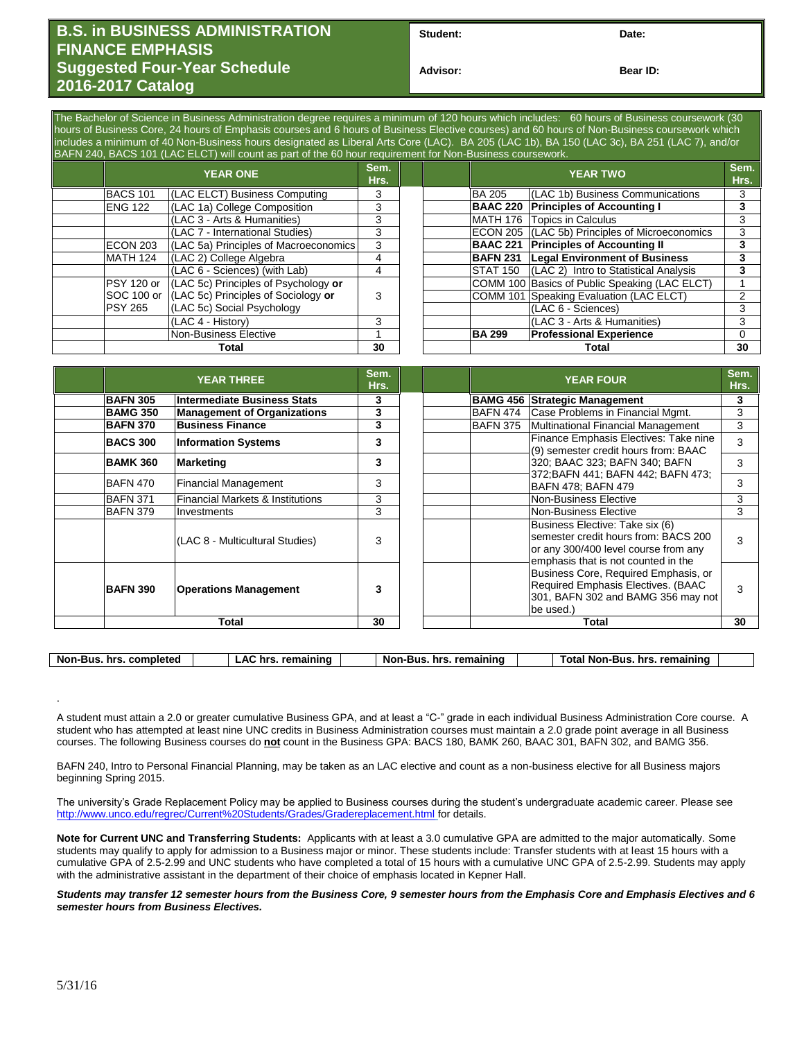## **B.S. in BUSINESS ADMINISTRATION FINANCE EMPHASIS Suggested Four-Year Schedule 2016-2017 Catalog**

Student: Date:

**Advisor: Bear ID:** 

The Bachelor of Science in Business Administration degree requires a minimum of 120 hours which includes: 60 hours of Business coursework (30 hours of Business Core, 24 hours of Emphasis courses and 6 hours of Business Elective courses) and 60 hours of Non-Business coursework which includes a minimum of 40 Non-Business hours designated as Liberal Arts Core (LAC). BA 205 (LAC 1b), BA 150 (LAC 3c), BA 251 (LAC 7), and/or BAFN 240, BACS 101 (LAC ELCT) will count as part of the 60 hour requirement for Non-Business coursework.

| <b>YEAR ONE</b> |                                                |    |  | Sem.<br><b>YEAR TWO</b> |                                                |    |
|-----------------|------------------------------------------------|----|--|-------------------------|------------------------------------------------|----|
| <b>BACS 101</b> | (LAC ELCT) Business Computing                  | 3  |  | <b>BA 205</b>           | (LAC 1b) Business Communications               | 3  |
| <b>ENG 122</b>  | (LAC 1a) College Composition                   | 3  |  | <b>BAAC 220</b>         | <b>Principles of Accounting I</b>              |    |
|                 | (LAC 3 - Arts & Humanities)                    | 3  |  | <b>MATH 176</b>         | Topics in Calculus                             | 3  |
|                 | (LAC 7 - International Studies)                | 3  |  |                         | ECON 205 (LAC 5b) Principles of Microeconomics | 3  |
| ECON 203        | (LAC 5a) Principles of Macroeconomics          | 3  |  | <b>BAAC 221</b>         | <b>Principles of Accounting II</b>             |    |
| <b>MATH 124</b> | (LAC 2) College Algebra                        | 4  |  | <b>BAFN 231</b>         | <b>Legal Environment of Business</b>           |    |
|                 | (LAC 6 - Sciences) (with Lab)                  | 4  |  |                         | STAT 150 (LAC 2) Intro to Statistical Analysis |    |
| PSY 120 or      | (LAC 5c) Principles of Psychology or           |    |  |                         | COMM 100 Basics of Public Speaking (LAC ELCT)  |    |
|                 | SOC 100 or (LAC 5c) Principles of Sociology or | 3  |  |                         | COMM 101 Speaking Evaluation (LAC ELCT)        |    |
| <b>PSY 265</b>  | (LAC 5c) Social Psychology                     |    |  |                         | (LAC 6 - Sciences)                             | 3  |
|                 | (LAC 4 - History)                              | 3  |  |                         | (LAC 3 - Arts & Humanities)                    | 3  |
|                 | Non-Business Elective                          |    |  | <b>BA 299</b>           | <b>Professional Experience</b>                 | 0  |
| Total           |                                                | 30 |  | Total                   |                                                | 30 |

|                 | <b>YEAR THREE</b>                  | Sem.<br>Hrs. | <b>YEAR FOUR</b>                                                                                                                                       | Sem.<br>Hrs. |  |  |  |
|-----------------|------------------------------------|--------------|--------------------------------------------------------------------------------------------------------------------------------------------------------|--------------|--|--|--|
| <b>BAFN 305</b> | Intermediate Business Stats        | 3            | <b>BAMG 456</b><br><b>Strategic Management</b>                                                                                                         | 3            |  |  |  |
| <b>BAMG 350</b> | <b>Management of Organizations</b> | 3            | Case Problems in Financial Mgmt.<br>BAFN 474                                                                                                           | 3            |  |  |  |
| <b>BAFN 370</b> | <b>Business Finance</b>            | 3            | Multinational Financial Management<br><b>BAFN 375</b>                                                                                                  | 3            |  |  |  |
| <b>BACS 300</b> | <b>Information Systems</b>         | 3            | Finance Emphasis Electives: Take nine<br>(9) semester credit hours from: BAAC                                                                          | 3            |  |  |  |
| <b>BAMK 360</b> | <b>Marketing</b>                   | 3            | 320; BAAC 323; BAFN 340; BAFN                                                                                                                          | 3            |  |  |  |
| <b>BAFN 470</b> | <b>Financial Management</b>        | 3            | 372; BAFN 441; BAFN 442; BAFN 473;<br>BAFN 478; BAFN 479                                                                                               | 3            |  |  |  |
| <b>BAFN 371</b> | Financial Markets & Institutions   | 3            | <b>Non-Business Elective</b>                                                                                                                           | 3            |  |  |  |
| <b>BAFN 379</b> | Investments                        | 3            | Non-Business Elective                                                                                                                                  | 3            |  |  |  |
|                 | (LAC 8 - Multicultural Studies)    | 3            | Business Elective: Take six (6)<br>semester credit hours from: BACS 200<br>or any 300/400 level course from any<br>emphasis that is not counted in the |              |  |  |  |
| <b>BAFN 390</b> | <b>Operations Management</b>       | 3            | Business Core, Required Emphasis, or<br>Required Emphasis Electives. (BAAC<br>301, BAFN 302 and BAMG 356 may not<br>be used.)                          | 3            |  |  |  |
|                 | Total                              | 30           | Total                                                                                                                                                  | 30           |  |  |  |
|                 |                                    |              |                                                                                                                                                        |              |  |  |  |

.

**Non-Bus. hrs. completed LAC hrs. remaining Non-Bus. hrs. remaining Total Non-Bus. hrs. remaining**

A student must attain a 2.0 or greater cumulative Business GPA, and at least a "C-" grade in each individual Business Administration Core course. A student who has attempted at least nine UNC credits in Business Administration courses must maintain a 2.0 grade point average in all Business courses. The following Business courses do **not** count in the Business GPA: BACS 180, BAMK 260, BAAC 301, BAFN 302, and BAMG 356.

BAFN 240, Intro to Personal Financial Planning, may be taken as an LAC elective and count as a non-business elective for all Business majors beginning Spring 2015.

The university's Grade Replacement Policy may be applied to Business courses during the student's undergraduate academic career. Please see <http://www.unco.edu/regrec/Current%20Students/Grades/Gradereplacement.html> for details.

**Note for Current UNC and Transferring Students:** Applicants with at least a 3.0 cumulative GPA are admitted to the major automatically. Some students may qualify to apply for admission to a Business major or minor. These students include: Transfer students with at least 15 hours with a cumulative GPA of 2.5-2.99 and UNC students who have completed a total of 15 hours with a cumulative UNC GPA of 2.5-2.99. Students may apply with the administrative assistant in the department of their choice of emphasis located in Kepner Hall.

*Students may transfer 12 semester hours from the Business Core, 9 semester hours from the Emphasis Core and Emphasis Electives and 6 semester hours from Business Electives.*